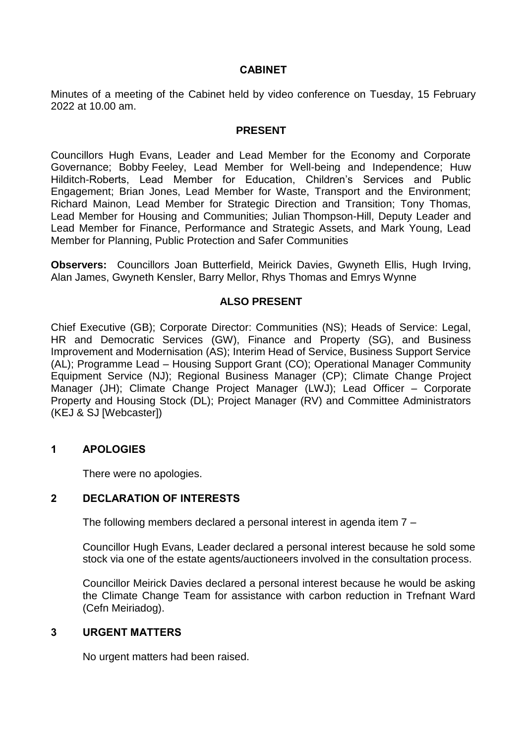### **CABINET**

Minutes of a meeting of the Cabinet held by video conference on Tuesday, 15 February 2022 at 10.00 am.

#### **PRESENT**

Councillors Hugh Evans, Leader and Lead Member for the Economy and Corporate Governance; Bobby Feeley, Lead Member for Well-being and Independence; Huw Hilditch-Roberts, Lead Member for Education, Children's Services and Public Engagement; Brian Jones, Lead Member for Waste, Transport and the Environment; Richard Mainon, Lead Member for Strategic Direction and Transition; Tony Thomas, Lead Member for Housing and Communities; Julian Thompson-Hill, Deputy Leader and Lead Member for Finance, Performance and Strategic Assets, and Mark Young, Lead Member for Planning, Public Protection and Safer Communities

**Observers:** Councillors Joan Butterfield, Meirick Davies, Gwyneth Ellis, Hugh Irving, Alan James, Gwyneth Kensler, Barry Mellor, Rhys Thomas and Emrys Wynne

#### **ALSO PRESENT**

Chief Executive (GB); Corporate Director: Communities (NS); Heads of Service: Legal, HR and Democratic Services (GW), Finance and Property (SG), and Business Improvement and Modernisation (AS); Interim Head of Service, Business Support Service (AL); Programme Lead – Housing Support Grant (CO); Operational Manager Community Equipment Service (NJ); Regional Business Manager (CP); Climate Change Project Manager (JH); Climate Change Project Manager (LWJ); Lead Officer – Corporate Property and Housing Stock (DL); Project Manager (RV) and Committee Administrators (KEJ & SJ [Webcaster])

#### **1 APOLOGIES**

There were no apologies.

# **2 DECLARATION OF INTERESTS**

The following members declared a personal interest in agenda item 7 –

Councillor Hugh Evans, Leader declared a personal interest because he sold some stock via one of the estate agents/auctioneers involved in the consultation process.

Councillor Meirick Davies declared a personal interest because he would be asking the Climate Change Team for assistance with carbon reduction in Trefnant Ward (Cefn Meiriadog).

#### **3 URGENT MATTERS**

No urgent matters had been raised.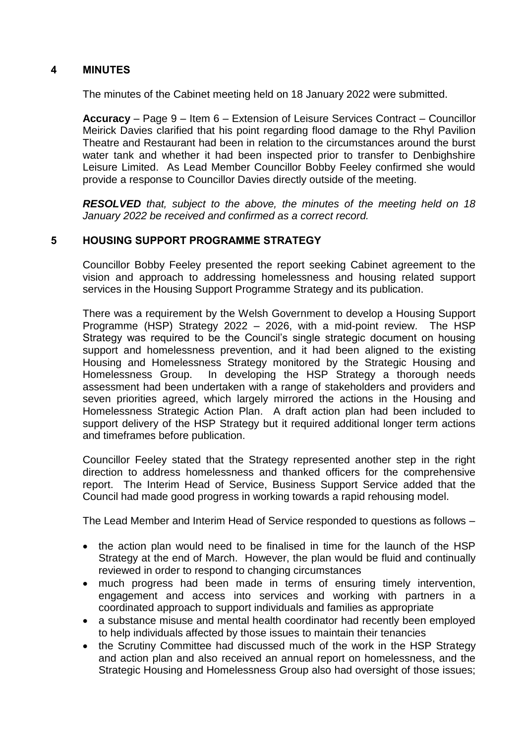# **4 MINUTES**

The minutes of the Cabinet meeting held on 18 January 2022 were submitted.

**Accuracy** – Page 9 – Item 6 – Extension of Leisure Services Contract – Councillor Meirick Davies clarified that his point regarding flood damage to the Rhyl Pavilion Theatre and Restaurant had been in relation to the circumstances around the burst water tank and whether it had been inspected prior to transfer to Denbighshire Leisure Limited. As Lead Member Councillor Bobby Feeley confirmed she would provide a response to Councillor Davies directly outside of the meeting.

*RESOLVED that, subject to the above, the minutes of the meeting held on 18 January 2022 be received and confirmed as a correct record.*

# **5 HOUSING SUPPORT PROGRAMME STRATEGY**

Councillor Bobby Feeley presented the report seeking Cabinet agreement to the vision and approach to addressing homelessness and housing related support services in the Housing Support Programme Strategy and its publication.

There was a requirement by the Welsh Government to develop a Housing Support Programme (HSP) Strategy 2022 – 2026, with a mid-point review. The HSP Strategy was required to be the Council's single strategic document on housing support and homelessness prevention, and it had been aligned to the existing Housing and Homelessness Strategy monitored by the Strategic Housing and Homelessness Group. In developing the HSP Strategy a thorough needs assessment had been undertaken with a range of stakeholders and providers and seven priorities agreed, which largely mirrored the actions in the Housing and Homelessness Strategic Action Plan. A draft action plan had been included to support delivery of the HSP Strategy but it required additional longer term actions and timeframes before publication.

Councillor Feeley stated that the Strategy represented another step in the right direction to address homelessness and thanked officers for the comprehensive report. The Interim Head of Service, Business Support Service added that the Council had made good progress in working towards a rapid rehousing model.

The Lead Member and Interim Head of Service responded to questions as follows –

- the action plan would need to be finalised in time for the launch of the HSP Strategy at the end of March. However, the plan would be fluid and continually reviewed in order to respond to changing circumstances
- much progress had been made in terms of ensuring timely intervention, engagement and access into services and working with partners in a coordinated approach to support individuals and families as appropriate
- a substance misuse and mental health coordinator had recently been employed to help individuals affected by those issues to maintain their tenancies
- the Scrutiny Committee had discussed much of the work in the HSP Strategy and action plan and also received an annual report on homelessness, and the Strategic Housing and Homelessness Group also had oversight of those issues;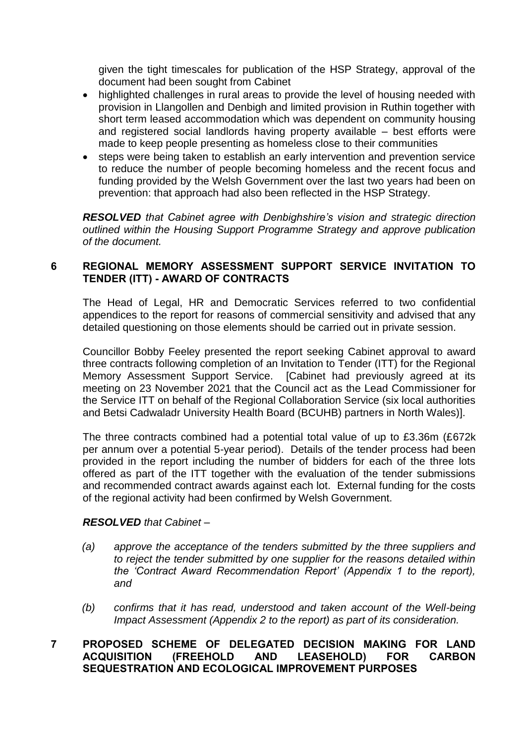given the tight timescales for publication of the HSP Strategy, approval of the document had been sought from Cabinet

- highlighted challenges in rural areas to provide the level of housing needed with provision in Llangollen and Denbigh and limited provision in Ruthin together with short term leased accommodation which was dependent on community housing and registered social landlords having property available – best efforts were made to keep people presenting as homeless close to their communities
- steps were being taken to establish an early intervention and prevention service to reduce the number of people becoming homeless and the recent focus and funding provided by the Welsh Government over the last two years had been on prevention: that approach had also been reflected in the HSP Strategy.

*RESOLVED that Cabinet agree with Denbighshire's vision and strategic direction outlined within the Housing Support Programme Strategy and approve publication of the document.*

### **6 REGIONAL MEMORY ASSESSMENT SUPPORT SERVICE INVITATION TO TENDER (ITT) - AWARD OF CONTRACTS**

The Head of Legal, HR and Democratic Services referred to two confidential appendices to the report for reasons of commercial sensitivity and advised that any detailed questioning on those elements should be carried out in private session.

Councillor Bobby Feeley presented the report seeking Cabinet approval to award three contracts following completion of an Invitation to Tender (ITT) for the Regional Memory Assessment Support Service. [Cabinet had previously agreed at its meeting on 23 November 2021 that the Council act as the Lead Commissioner for the Service ITT on behalf of the Regional Collaboration Service (six local authorities and Betsi Cadwaladr University Health Board (BCUHB) partners in North Wales)].

The three contracts combined had a potential total value of up to £3.36m (£672k per annum over a potential 5-year period). Details of the tender process had been provided in the report including the number of bidders for each of the three lots offered as part of the ITT together with the evaluation of the tender submissions and recommended contract awards against each lot. External funding for the costs of the regional activity had been confirmed by Welsh Government.

#### *RESOLVED that Cabinet –*

- *(a) approve the acceptance of the tenders submitted by the three suppliers and to reject the tender submitted by one supplier for the reasons detailed within the 'Contract Award Recommendation Report' (Appendix 1 to the report), and*
- *(b) confirms that it has read, understood and taken account of the Well-being Impact Assessment (Appendix 2 to the report) as part of its consideration.*

# **7 PROPOSED SCHEME OF DELEGATED DECISION MAKING FOR LAND ACQUISITION (FREEHOLD AND LEASEHOLD) FOR CARBON SEQUESTRATION AND ECOLOGICAL IMPROVEMENT PURPOSES**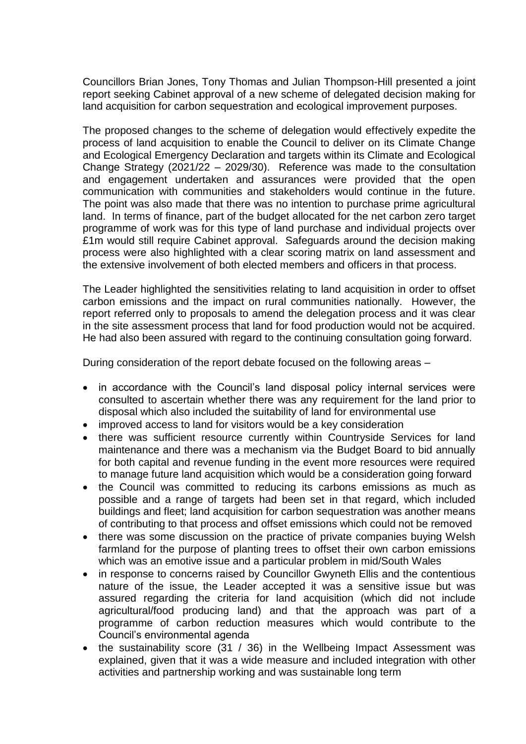Councillors Brian Jones, Tony Thomas and Julian Thompson-Hill presented a joint report seeking Cabinet approval of a new scheme of delegated decision making for land acquisition for carbon sequestration and ecological improvement purposes.

The proposed changes to the scheme of delegation would effectively expedite the process of land acquisition to enable the Council to deliver on its Climate Change and Ecological Emergency Declaration and targets within its Climate and Ecological Change Strategy (2021/22 – 2029/30). Reference was made to the consultation and engagement undertaken and assurances were provided that the open communication with communities and stakeholders would continue in the future. The point was also made that there was no intention to purchase prime agricultural land. In terms of finance, part of the budget allocated for the net carbon zero target programme of work was for this type of land purchase and individual projects over £1m would still require Cabinet approval. Safeguards around the decision making process were also highlighted with a clear scoring matrix on land assessment and the extensive involvement of both elected members and officers in that process.

The Leader highlighted the sensitivities relating to land acquisition in order to offset carbon emissions and the impact on rural communities nationally. However, the report referred only to proposals to amend the delegation process and it was clear in the site assessment process that land for food production would not be acquired. He had also been assured with regard to the continuing consultation going forward.

During consideration of the report debate focused on the following areas –

- in accordance with the Council's land disposal policy internal services were consulted to ascertain whether there was any requirement for the land prior to disposal which also included the suitability of land for environmental use
- improved access to land for visitors would be a key consideration
- there was sufficient resource currently within Countryside Services for land maintenance and there was a mechanism via the Budget Board to bid annually for both capital and revenue funding in the event more resources were required to manage future land acquisition which would be a consideration going forward
- the Council was committed to reducing its carbons emissions as much as possible and a range of targets had been set in that regard, which included buildings and fleet; land acquisition for carbon sequestration was another means of contributing to that process and offset emissions which could not be removed
- there was some discussion on the practice of private companies buying Welsh farmland for the purpose of planting trees to offset their own carbon emissions which was an emotive issue and a particular problem in mid/South Wales
- in response to concerns raised by Councillor Gwyneth Ellis and the contentious nature of the issue, the Leader accepted it was a sensitive issue but was assured regarding the criteria for land acquisition (which did not include agricultural/food producing land) and that the approach was part of a programme of carbon reduction measures which would contribute to the Council's environmental agenda
- the sustainability score (31 / 36) in the Wellbeing Impact Assessment was explained, given that it was a wide measure and included integration with other activities and partnership working and was sustainable long term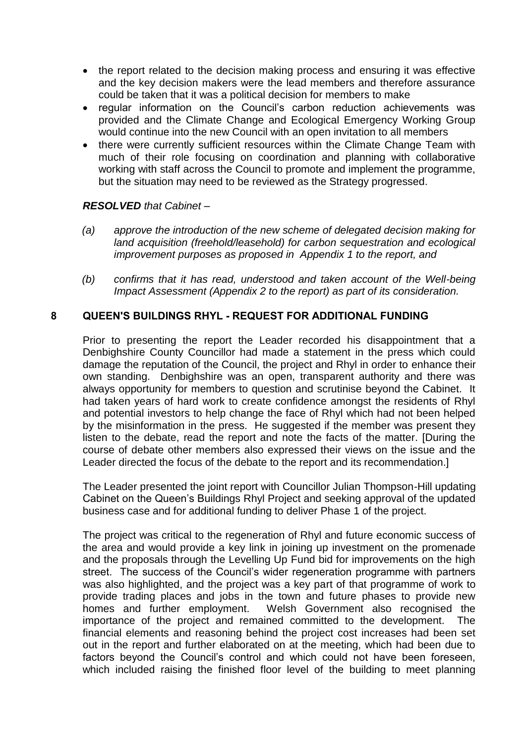- the report related to the decision making process and ensuring it was effective and the key decision makers were the lead members and therefore assurance could be taken that it was a political decision for members to make
- regular information on the Council's carbon reduction achievements was provided and the Climate Change and Ecological Emergency Working Group would continue into the new Council with an open invitation to all members
- there were currently sufficient resources within the Climate Change Team with much of their role focusing on coordination and planning with collaborative working with staff across the Council to promote and implement the programme, but the situation may need to be reviewed as the Strategy progressed.

#### *RESOLVED that Cabinet –*

- *(a) approve the introduction of the new scheme of delegated decision making for land acquisition (freehold/leasehold) for carbon sequestration and ecological improvement purposes as proposed in Appendix 1 to the report, and*
- *(b) confirms that it has read, understood and taken account of the Well-being Impact Assessment (Appendix 2 to the report) as part of its consideration.*

### **8 QUEEN'S BUILDINGS RHYL - REQUEST FOR ADDITIONAL FUNDING**

Prior to presenting the report the Leader recorded his disappointment that a Denbighshire County Councillor had made a statement in the press which could damage the reputation of the Council, the project and Rhyl in order to enhance their own standing. Denbighshire was an open, transparent authority and there was always opportunity for members to question and scrutinise beyond the Cabinet. It had taken years of hard work to create confidence amongst the residents of Rhyl and potential investors to help change the face of Rhyl which had not been helped by the misinformation in the press. He suggested if the member was present they listen to the debate, read the report and note the facts of the matter. [During the course of debate other members also expressed their views on the issue and the Leader directed the focus of the debate to the report and its recommendation.]

The Leader presented the joint report with Councillor Julian Thompson-Hill updating Cabinet on the Queen's Buildings Rhyl Project and seeking approval of the updated business case and for additional funding to deliver Phase 1 of the project.

The project was critical to the regeneration of Rhyl and future economic success of the area and would provide a key link in joining up investment on the promenade and the proposals through the Levelling Up Fund bid for improvements on the high street. The success of the Council's wider regeneration programme with partners was also highlighted, and the project was a key part of that programme of work to provide trading places and jobs in the town and future phases to provide new homes and further employment. Welsh Government also recognised the importance of the project and remained committed to the development. The financial elements and reasoning behind the project cost increases had been set out in the report and further elaborated on at the meeting, which had been due to factors beyond the Council's control and which could not have been foreseen, which included raising the finished floor level of the building to meet planning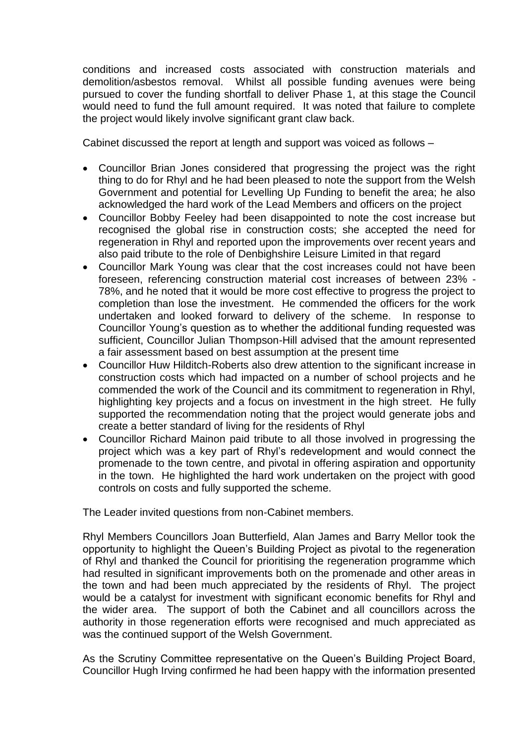conditions and increased costs associated with construction materials and demolition/asbestos removal. Whilst all possible funding avenues were being pursued to cover the funding shortfall to deliver Phase 1, at this stage the Council would need to fund the full amount required. It was noted that failure to complete the project would likely involve significant grant claw back.

Cabinet discussed the report at length and support was voiced as follows –

- Councillor Brian Jones considered that progressing the project was the right thing to do for Rhyl and he had been pleased to note the support from the Welsh Government and potential for Levelling Up Funding to benefit the area; he also acknowledged the hard work of the Lead Members and officers on the project
- Councillor Bobby Feeley had been disappointed to note the cost increase but recognised the global rise in construction costs; she accepted the need for regeneration in Rhyl and reported upon the improvements over recent years and also paid tribute to the role of Denbighshire Leisure Limited in that regard
- Councillor Mark Young was clear that the cost increases could not have been foreseen, referencing construction material cost increases of between 23% - 78%, and he noted that it would be more cost effective to progress the project to completion than lose the investment. He commended the officers for the work undertaken and looked forward to delivery of the scheme. In response to Councillor Young's question as to whether the additional funding requested was sufficient, Councillor Julian Thompson-Hill advised that the amount represented a fair assessment based on best assumption at the present time
- Councillor Huw Hilditch-Roberts also drew attention to the significant increase in construction costs which had impacted on a number of school projects and he commended the work of the Council and its commitment to regeneration in Rhyl, highlighting key projects and a focus on investment in the high street. He fully supported the recommendation noting that the project would generate jobs and create a better standard of living for the residents of Rhyl
- Councillor Richard Mainon paid tribute to all those involved in progressing the project which was a key part of Rhyl's redevelopment and would connect the promenade to the town centre, and pivotal in offering aspiration and opportunity in the town. He highlighted the hard work undertaken on the project with good controls on costs and fully supported the scheme.

The Leader invited questions from non-Cabinet members.

Rhyl Members Councillors Joan Butterfield, Alan James and Barry Mellor took the opportunity to highlight the Queen's Building Project as pivotal to the regeneration of Rhyl and thanked the Council for prioritising the regeneration programme which had resulted in significant improvements both on the promenade and other areas in the town and had been much appreciated by the residents of Rhyl. The project would be a catalyst for investment with significant economic benefits for Rhyl and the wider area. The support of both the Cabinet and all councillors across the authority in those regeneration efforts were recognised and much appreciated as was the continued support of the Welsh Government.

As the Scrutiny Committee representative on the Queen's Building Project Board, Councillor Hugh Irving confirmed he had been happy with the information presented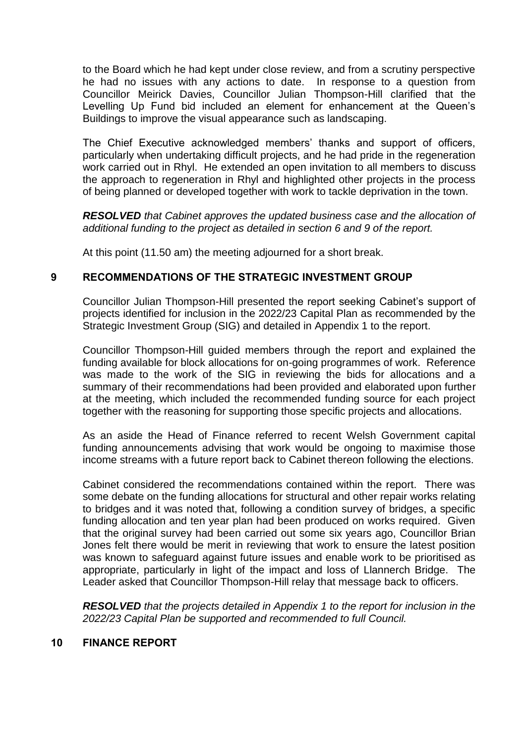to the Board which he had kept under close review, and from a scrutiny perspective he had no issues with any actions to date. In response to a question from Councillor Meirick Davies, Councillor Julian Thompson-Hill clarified that the Levelling Up Fund bid included an element for enhancement at the Queen's Buildings to improve the visual appearance such as landscaping.

The Chief Executive acknowledged members' thanks and support of officers, particularly when undertaking difficult projects, and he had pride in the regeneration work carried out in Rhyl. He extended an open invitation to all members to discuss the approach to regeneration in Rhyl and highlighted other projects in the process of being planned or developed together with work to tackle deprivation in the town.

*RESOLVED that Cabinet approves the updated business case and the allocation of additional funding to the project as detailed in section 6 and 9 of the report.*

At this point (11.50 am) the meeting adjourned for a short break.

#### **9 RECOMMENDATIONS OF THE STRATEGIC INVESTMENT GROUP**

Councillor Julian Thompson-Hill presented the report seeking Cabinet's support of projects identified for inclusion in the 2022/23 Capital Plan as recommended by the Strategic Investment Group (SIG) and detailed in Appendix 1 to the report.

Councillor Thompson-Hill guided members through the report and explained the funding available for block allocations for on-going programmes of work. Reference was made to the work of the SIG in reviewing the bids for allocations and a summary of their recommendations had been provided and elaborated upon further at the meeting, which included the recommended funding source for each project together with the reasoning for supporting those specific projects and allocations.

As an aside the Head of Finance referred to recent Welsh Government capital funding announcements advising that work would be ongoing to maximise those income streams with a future report back to Cabinet thereon following the elections.

Cabinet considered the recommendations contained within the report. There was some debate on the funding allocations for structural and other repair works relating to bridges and it was noted that, following a condition survey of bridges, a specific funding allocation and ten year plan had been produced on works required. Given that the original survey had been carried out some six years ago, Councillor Brian Jones felt there would be merit in reviewing that work to ensure the latest position was known to safeguard against future issues and enable work to be prioritised as appropriate, particularly in light of the impact and loss of Llannerch Bridge. The Leader asked that Councillor Thompson-Hill relay that message back to officers.

*RESOLVED that the projects detailed in Appendix 1 to the report for inclusion in the 2022/23 Capital Plan be supported and recommended to full Council.*

#### **10 FINANCE REPORT**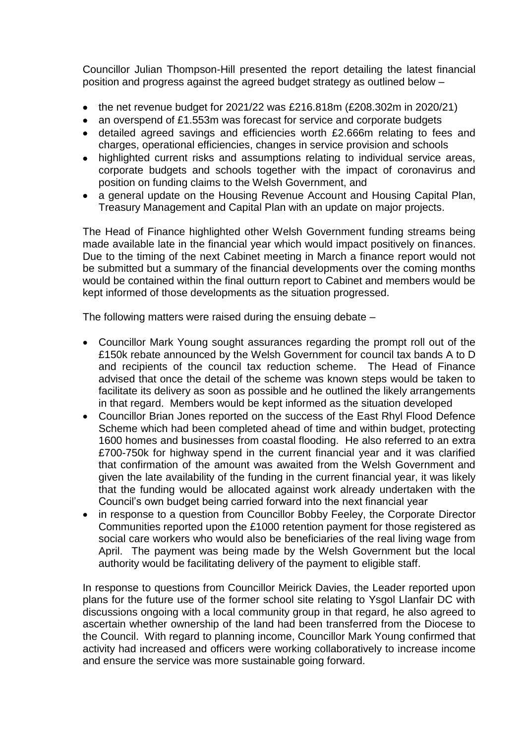Councillor Julian Thompson-Hill presented the report detailing the latest financial position and progress against the agreed budget strategy as outlined below –

- the net revenue budget for 2021/22 was £216.818m (£208.302m in 2020/21)
- an overspend of £1.553m was forecast for service and corporate budgets
- detailed agreed savings and efficiencies worth £2.666m relating to fees and charges, operational efficiencies, changes in service provision and schools
- highlighted current risks and assumptions relating to individual service areas, corporate budgets and schools together with the impact of coronavirus and position on funding claims to the Welsh Government, and
- a general update on the Housing Revenue Account and Housing Capital Plan, Treasury Management and Capital Plan with an update on major projects.

The Head of Finance highlighted other Welsh Government funding streams being made available late in the financial year which would impact positively on finances. Due to the timing of the next Cabinet meeting in March a finance report would not be submitted but a summary of the financial developments over the coming months would be contained within the final outturn report to Cabinet and members would be kept informed of those developments as the situation progressed.

The following matters were raised during the ensuing debate –

- Councillor Mark Young sought assurances regarding the prompt roll out of the £150k rebate announced by the Welsh Government for council tax bands A to D and recipients of the council tax reduction scheme. The Head of Finance advised that once the detail of the scheme was known steps would be taken to facilitate its delivery as soon as possible and he outlined the likely arrangements in that regard. Members would be kept informed as the situation developed
- Councillor Brian Jones reported on the success of the East Rhyl Flood Defence Scheme which had been completed ahead of time and within budget, protecting 1600 homes and businesses from coastal flooding. He also referred to an extra £700-750k for highway spend in the current financial year and it was clarified that confirmation of the amount was awaited from the Welsh Government and given the late availability of the funding in the current financial year, it was likely that the funding would be allocated against work already undertaken with the Council's own budget being carried forward into the next financial year
- in response to a question from Councillor Bobby Feeley, the Corporate Director Communities reported upon the £1000 retention payment for those registered as social care workers who would also be beneficiaries of the real living wage from April. The payment was being made by the Welsh Government but the local authority would be facilitating delivery of the payment to eligible staff.

In response to questions from Councillor Meirick Davies, the Leader reported upon plans for the future use of the former school site relating to Ysgol Llanfair DC with discussions ongoing with a local community group in that regard, he also agreed to ascertain whether ownership of the land had been transferred from the Diocese to the Council. With regard to planning income, Councillor Mark Young confirmed that activity had increased and officers were working collaboratively to increase income and ensure the service was more sustainable going forward.